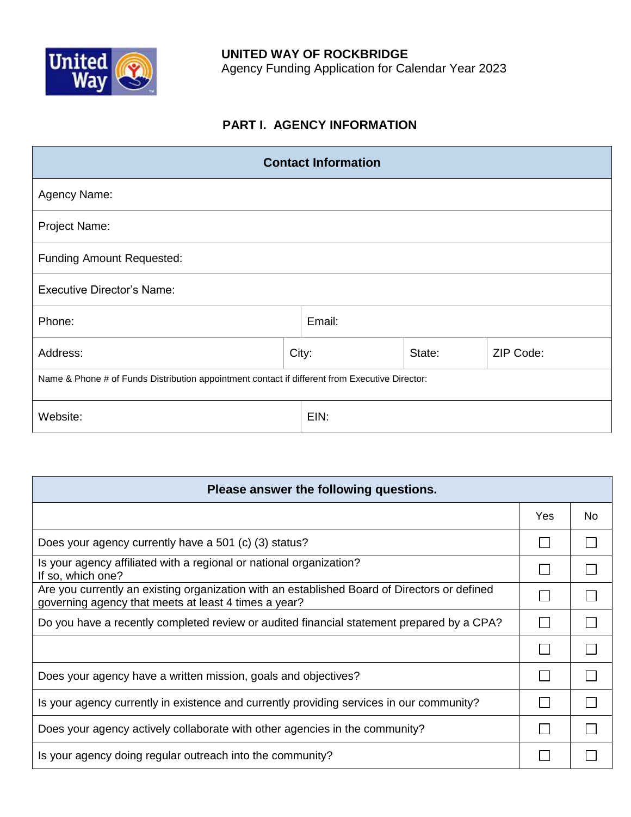

# **PART I. AGENCY INFORMATION**

| <b>Contact Information</b>                                                                     |       |        |        |           |  |
|------------------------------------------------------------------------------------------------|-------|--------|--------|-----------|--|
| Agency Name:                                                                                   |       |        |        |           |  |
| Project Name:                                                                                  |       |        |        |           |  |
| <b>Funding Amount Requested:</b>                                                               |       |        |        |           |  |
| <b>Executive Director's Name:</b>                                                              |       |        |        |           |  |
| Phone:                                                                                         |       | Email: |        |           |  |
| Address:                                                                                       | City: |        | State: | ZIP Code: |  |
| Name & Phone # of Funds Distribution appointment contact if different from Executive Director: |       |        |        |           |  |
| Website:                                                                                       |       | EIN:   |        |           |  |

| Please answer the following questions.                                                                                                               |            |    |  |  |  |  |
|------------------------------------------------------------------------------------------------------------------------------------------------------|------------|----|--|--|--|--|
|                                                                                                                                                      | <b>Yes</b> | No |  |  |  |  |
| Does your agency currently have a 501 (c) (3) status?                                                                                                |            |    |  |  |  |  |
| Is your agency affiliated with a regional or national organization?<br>If so, which one?                                                             |            |    |  |  |  |  |
| Are you currently an existing organization with an established Board of Directors or defined<br>governing agency that meets at least 4 times a year? |            |    |  |  |  |  |
| Do you have a recently completed review or audited financial statement prepared by a CPA?                                                            |            |    |  |  |  |  |
|                                                                                                                                                      |            |    |  |  |  |  |
| Does your agency have a written mission, goals and objectives?                                                                                       |            |    |  |  |  |  |
| Is your agency currently in existence and currently providing services in our community?                                                             |            |    |  |  |  |  |
| Does your agency actively collaborate with other agencies in the community?                                                                          |            |    |  |  |  |  |
| Is your agency doing regular outreach into the community?                                                                                            |            |    |  |  |  |  |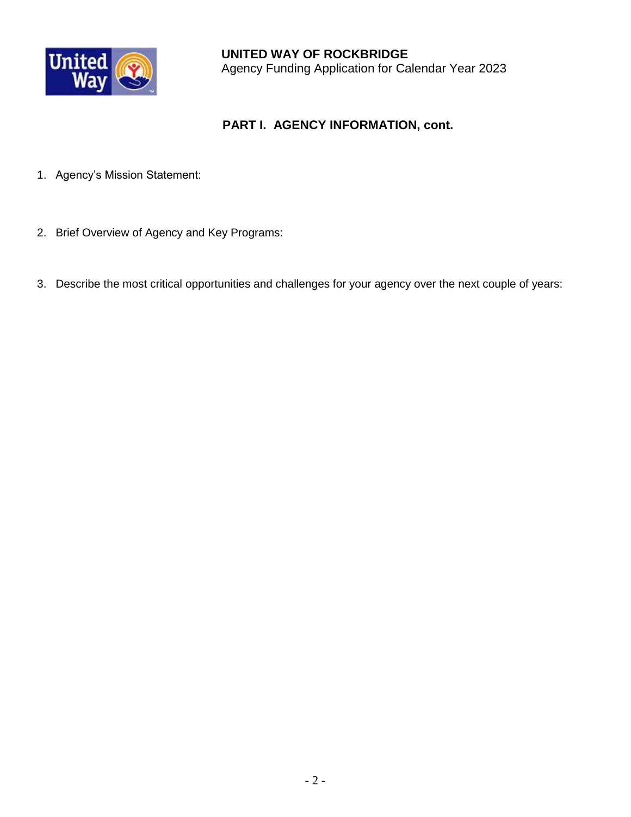

## **PART I. AGENCY INFORMATION, cont.**

- 1. Agency's Mission Statement:
- 2. Brief Overview of Agency and Key Programs:
- 3. Describe the most critical opportunities and challenges for your agency over the next couple of years: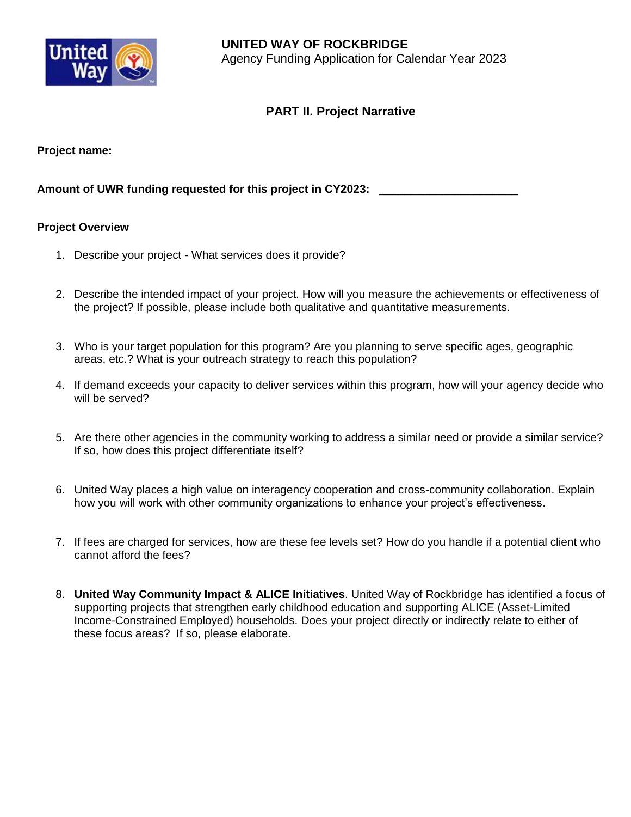

### **PART II. Project Narrative**

**Project name:** 

**Amount of UWR funding requested for this project in CY2023:** \_\_\_\_\_\_\_\_\_\_\_\_\_\_\_\_\_\_\_\_\_\_

#### **Project Overview**

- 1. Describe your project What services does it provide?
- 2. Describe the intended impact of your project. How will you measure the achievements or effectiveness of the project? If possible, please include both qualitative and quantitative measurements.
- 3. Who is your target population for this program? Are you planning to serve specific ages, geographic areas, etc.? What is your outreach strategy to reach this population?
- 4. If demand exceeds your capacity to deliver services within this program, how will your agency decide who will be served?
- 5. Are there other agencies in the community working to address a similar need or provide a similar service? If so, how does this project differentiate itself?
- 6. United Way places a high value on interagency cooperation and cross-community collaboration. Explain how you will work with other community organizations to enhance your project's effectiveness.
- 7. If fees are charged for services, how are these fee levels set? How do you handle if a potential client who cannot afford the fees?
- 8. **United Way Community Impact & ALICE Initiatives**. United Way of Rockbridge has identified a focus of supporting projects that strengthen early childhood education and supporting ALICE (Asset-Limited Income-Constrained Employed) households. Does your project directly or indirectly relate to either of these focus areas? If so, please elaborate.